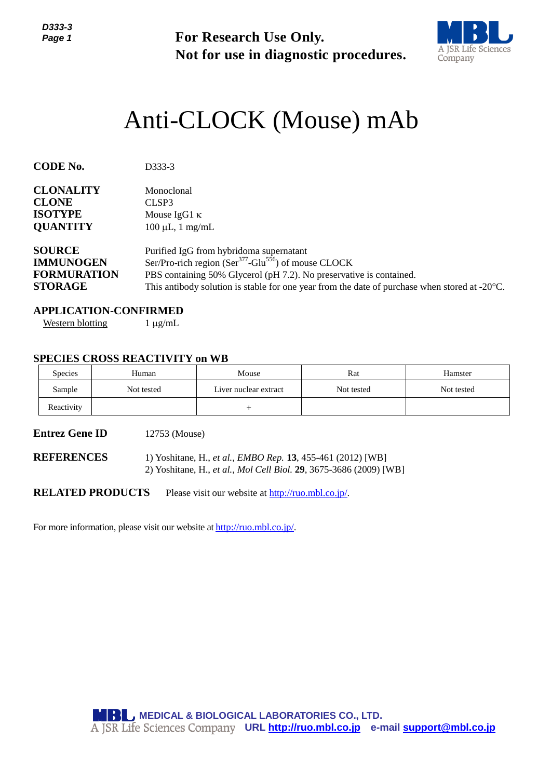

# Anti-CLOCK (Mouse) mAb

| Page 1                                                                    |                                                                                                                                   | <b>For Research Use Only.</b>                                                                                                                                                                                                                                                                             | Not for use in diagnostic procedures.                                         | <b>A JSR Life Sciences</b><br>Company |  |  |  |
|---------------------------------------------------------------------------|-----------------------------------------------------------------------------------------------------------------------------------|-----------------------------------------------------------------------------------------------------------------------------------------------------------------------------------------------------------------------------------------------------------------------------------------------------------|-------------------------------------------------------------------------------|---------------------------------------|--|--|--|
|                                                                           |                                                                                                                                   |                                                                                                                                                                                                                                                                                                           | Anti-CLOCK (Mouse) mAb                                                        |                                       |  |  |  |
| <b>CODE No.</b>                                                           | D333-3                                                                                                                            |                                                                                                                                                                                                                                                                                                           |                                                                               |                                       |  |  |  |
| <b>CLONALITY</b><br><b>CLONE</b><br><b>ISOTYPE</b><br><b>QUANTITY</b>     | Monoclonal<br>CLSP3                                                                                                               | Mouse IgG1 $\kappa$<br>$100 \mu L$ , 1 mg/mL                                                                                                                                                                                                                                                              |                                                                               |                                       |  |  |  |
| <b>SOURCE</b><br><b>IMMUNOGEN</b><br><b>FORMURATION</b><br><b>STORAGE</b> |                                                                                                                                   | Purified IgG from hybridoma supernatant<br>Ser/Pro-rich region (Ser <sup>377</sup> -Glu <sup>556</sup> ) of mouse CLOCK<br>PBS containing 50% Glycerol (pH 7.2). No preservative is contained.<br>This antibody solution is stable for one year from the date of purchase when stored at $-20^{\circ}$ C. |                                                                               |                                       |  |  |  |
| <b>APPLICATION-CONFIRMED</b><br><b>Western blotting</b>                   | $1 \mu g/mL$                                                                                                                      |                                                                                                                                                                                                                                                                                                           |                                                                               |                                       |  |  |  |
|                                                                           | <b>SPECIES CROSS REACTIVITY on WB</b>                                                                                             |                                                                                                                                                                                                                                                                                                           |                                                                               |                                       |  |  |  |
| Species                                                                   | Human                                                                                                                             | Mouse                                                                                                                                                                                                                                                                                                     | Rat                                                                           | Hamster                               |  |  |  |
| Sample<br>Reactivity                                                      | Not tested                                                                                                                        | Liver nuclear extract<br>$^{+}$                                                                                                                                                                                                                                                                           | Not tested                                                                    | Not tested                            |  |  |  |
|                                                                           |                                                                                                                                   |                                                                                                                                                                                                                                                                                                           |                                                                               |                                       |  |  |  |
| <b>Entrez Gene ID</b>                                                     | 12753 (Mouse)                                                                                                                     |                                                                                                                                                                                                                                                                                                           |                                                                               |                                       |  |  |  |
| <b>REFERENCES</b>                                                         | 1) Yoshitane, H., et al., EMBO Rep. 13, 455-461 (2012) [WB]<br>2) Yoshitane, H., et al., Mol Cell Biol. 29, 3675-3686 (2009) [WB] |                                                                                                                                                                                                                                                                                                           |                                                                               |                                       |  |  |  |
| <b>RELATED PRODUCTS</b>                                                   |                                                                                                                                   | Please visit our website at http://ruo.mbl.co.jp/.                                                                                                                                                                                                                                                        |                                                                               |                                       |  |  |  |
|                                                                           |                                                                                                                                   | For more information, please visit our website at http://ruo.mbl.co.jp/.                                                                                                                                                                                                                                  |                                                                               |                                       |  |  |  |
|                                                                           |                                                                                                                                   |                                                                                                                                                                                                                                                                                                           |                                                                               |                                       |  |  |  |
|                                                                           |                                                                                                                                   |                                                                                                                                                                                                                                                                                                           |                                                                               |                                       |  |  |  |
|                                                                           |                                                                                                                                   |                                                                                                                                                                                                                                                                                                           |                                                                               |                                       |  |  |  |
|                                                                           |                                                                                                                                   |                                                                                                                                                                                                                                                                                                           |                                                                               |                                       |  |  |  |
|                                                                           |                                                                                                                                   |                                                                                                                                                                                                                                                                                                           |                                                                               |                                       |  |  |  |
|                                                                           |                                                                                                                                   |                                                                                                                                                                                                                                                                                                           |                                                                               |                                       |  |  |  |
|                                                                           |                                                                                                                                   |                                                                                                                                                                                                                                                                                                           |                                                                               |                                       |  |  |  |
|                                                                           |                                                                                                                                   | <b>MBL</b> MEDICAL & BIOLOGICAL LABORATORIES CO., LTD.                                                                                                                                                                                                                                                    | A JSR Life Sciences Company URL http://ruo.mbl.co.jp e-mail support@mbl.co.jp |                                       |  |  |  |

# **APPLICATION-CONFIRMED**

# **SPECIES CROSS REACTIVITY on WB**

| <b>Species</b> | Human      | Mouse                 | Rat        | Hamster    |
|----------------|------------|-----------------------|------------|------------|
| Sample         | Not tested | Liver nuclear extract | Not tested | Not tested |
| Reactivity     |            |                       |            |            |